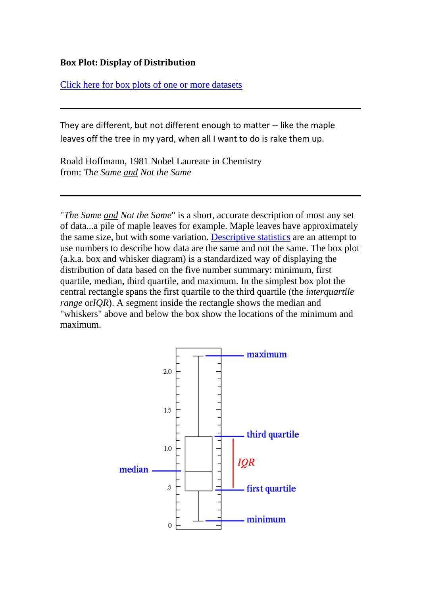## **Box Plot: Display of Distribution**

[Click here for box plots of one or more datasets](http://www.physics.csbsju.edu/stats/bulk.stats.n.plot_NGROUP_form.html)

They are different, but not different enough to matter -- like the maple leaves off the tree in my yard, when all I want to do is rake them up.

Roald Hoffmann, 1981 Nobel Laureate in Chemistry from: *The Same and Not the Same*

"*The Same and Not the Same*" is a short, accurate description of most any set of data...a pile of maple leaves for example. Maple leaves have approximately the same size, but with some variation. [Descriptive statistics](http://www.physics.csbsju.edu/stats/descriptive2.html) are an attempt to use numbers to describe how data are the same and not the same. The box plot (a.k.a. box and whisker diagram) is a standardized way of displaying the distribution of data based on the five number summary: minimum, first quartile, median, third quartile, and maximum. In the simplest box plot the central rectangle spans the first quartile to the third quartile (the *interquartile range* or*IQR*). A segment inside the rectangle shows the median and "whiskers" above and below the box show the locations of the minimum and maximum.

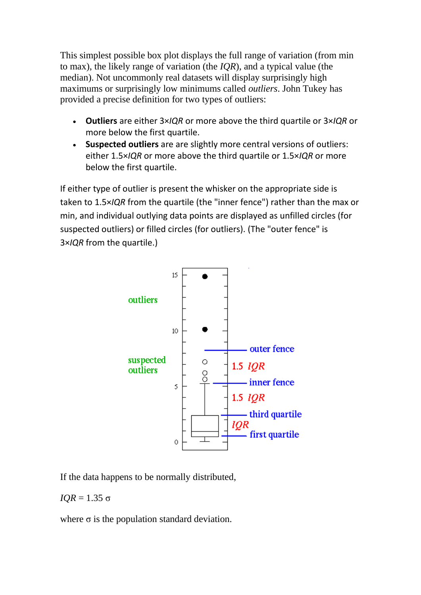This simplest possible box plot displays the full range of variation (from min to max), the likely range of variation (the *IQR*), and a typical value (the median). Not uncommonly real datasets will display surprisingly high maximums or surprisingly low minimums called *outliers*. John Tukey has provided a precise definition for two types of outliers:

- **Outliers** are either 3×*IQR* or more above the third quartile or 3×*IQR* or more below the first quartile.
- **Suspected outliers** are are slightly more central versions of outliers: either 1.5×*IQR* or more above the third quartile or 1.5×*IQR* or more below the first quartile.

If either type of outlier is present the whisker on the appropriate side is taken to 1.5×*IQR* from the quartile (the "inner fence") rather than the max or min, and individual outlying data points are displayed as unfilled circles (for suspected outliers) or filled circles (for outliers). (The "outer fence" is 3×*IQR* from the quartile.)



If the data happens to be normally distributed,

## *IQR* = 1.35  $\sigma$

where  $\sigma$  is the population standard deviation.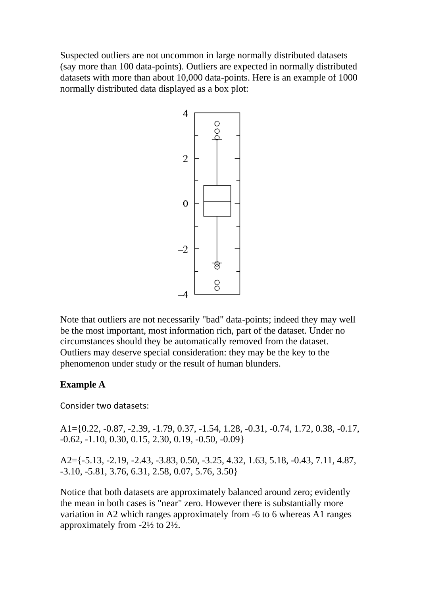Suspected outliers are not uncommon in large normally distributed datasets (say more than 100 data-points). Outliers are expected in normally distributed datasets with more than about 10,000 data-points. Here is an example of 1000 normally distributed data displayed as a box plot:



Note that outliers are not necessarily "bad" data-points; indeed they may well be the most important, most information rich, part of the dataset. Under no circumstances should they be automatically removed from the dataset. Outliers may deserve special consideration: they may be the key to the phenomenon under study or the result of human blunders.

## **Example A**

Consider two datasets:

A1={0.22, -0.87, -2.39, -1.79, 0.37, -1.54, 1.28, -0.31, -0.74, 1.72, 0.38, -0.17, -0.62, -1.10, 0.30, 0.15, 2.30, 0.19, -0.50, -0.09}

A2={-5.13, -2.19, -2.43, -3.83, 0.50, -3.25, 4.32, 1.63, 5.18, -0.43, 7.11, 4.87, -3.10, -5.81, 3.76, 6.31, 2.58, 0.07, 5.76, 3.50}

Notice that both datasets are approximately balanced around zero; evidently the mean in both cases is "near" zero. However there is substantially more variation in A2 which ranges approximately from -6 to 6 whereas A1 ranges approximately from -2½ to 2½.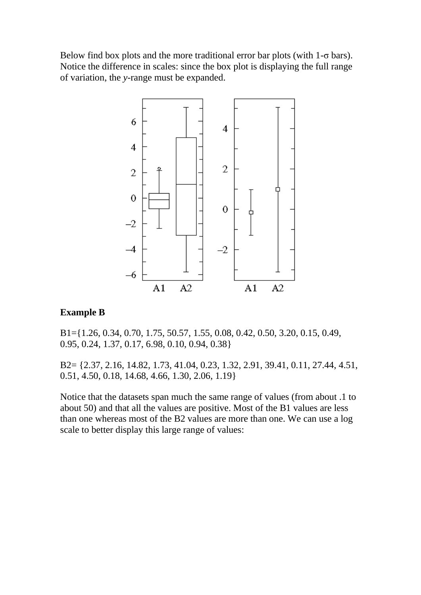Below find box plots and the more traditional error bar plots (with  $1-\sigma$  bars). Notice the difference in scales: since the box plot is displaying the full range of variation, the *y*-range must be expanded.



## **Example B**

B1={1.26, 0.34, 0.70, 1.75, 50.57, 1.55, 0.08, 0.42, 0.50, 3.20, 0.15, 0.49, 0.95, 0.24, 1.37, 0.17, 6.98, 0.10, 0.94, 0.38}

B2= {2.37, 2.16, 14.82, 1.73, 41.04, 0.23, 1.32, 2.91, 39.41, 0.11, 27.44, 4.51, 0.51, 4.50, 0.18, 14.68, 4.66, 1.30, 2.06, 1.19}

Notice that the datasets span much the same range of values (from about .1 to about 50) and that all the values are positive. Most of the B1 values are less than one whereas most of the B2 values are more than one. We can use a log scale to better display this large range of values: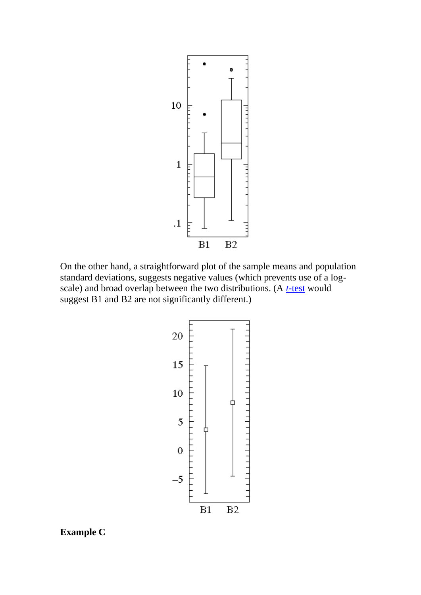

On the other hand, a straightforward plot of the sample means and population standard deviations, suggests negative values (which prevents use of a logscale) and broad overlap between the two distributions. (A *t*[-test](http://www.physics.csbsju.edu/stats/t-test.html) would suggest B1 and B2 are not significantly different.)



**Example C**